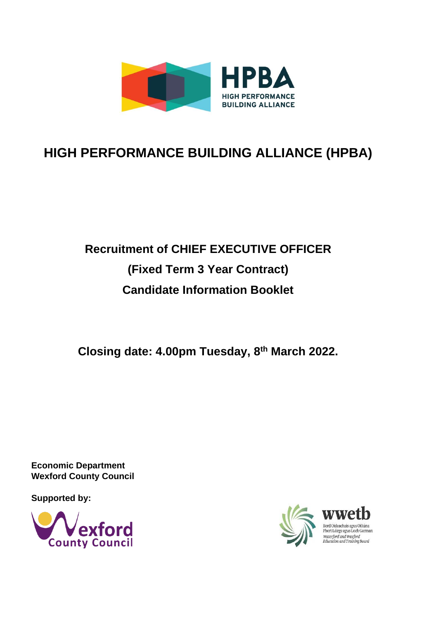

## **HIGH PERFORMANCE BUILDING ALLIANCE (HPBA)**

# **Recruitment of CHIEF EXECUTIVE OFFICER (Fixed Term 3 Year Contract) Candidate Information Booklet**

**Closing date: 4.00pm Tuesday, 8th March 2022.**

**Economic Department Wexford County Council**

**Supported by:**



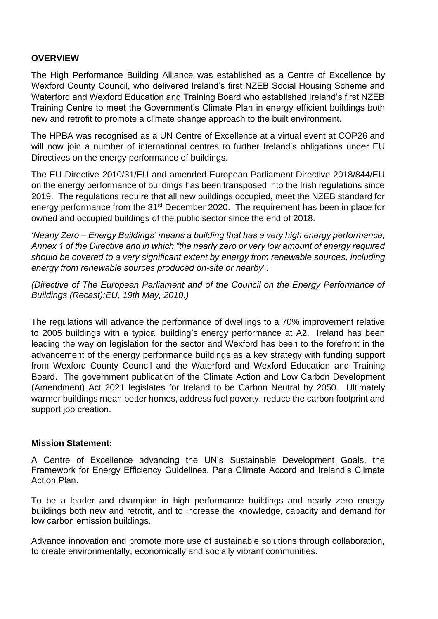#### **OVERVIEW**

The High Performance Building Alliance was established as a Centre of Excellence by Wexford County Council, who delivered Ireland's first NZEB Social Housing Scheme and Waterford and Wexford Education and Training Board who established Ireland's first NZEB Training Centre to meet the Government's Climate Plan in energy efficient buildings both new and retrofit to promote a climate change approach to the built environment.

The HPBA was recognised as a UN Centre of Excellence at a virtual event at COP26 and will now join a number of international centres to further Ireland's obligations under EU Directives on the energy performance of buildings.

The EU Directive 2010/31/EU and amended European Parliament Directive 2018/844/EU on the energy performance of buildings has been transposed into the Irish regulations since 2019. The regulations require that all new buildings occupied, meet the NZEB standard for energy performance from the 31<sup>st</sup> December 2020. The requirement has been in place for owned and occupied buildings of the public sector since the end of 2018.

'*Nearly Zero – Energy Buildings' means a building that has a very high energy performance, Annex 1 of the Directive and in which "the nearly zero or very low amount of energy required should be covered to a very significant extent by energy from renewable sources, including energy from renewable sources produced on-site or nearby*".

*(Directive of The European Parliament and of the Council on the Energy Performance of Buildings (Recast):EU, 19th May, 2010.)*

The regulations will advance the performance of dwellings to a 70% improvement relative to 2005 buildings with a typical building's energy performance at A2. Ireland has been leading the way on legislation for the sector and Wexford has been to the forefront in the advancement of the energy performance buildings as a key strategy with funding support from Wexford County Council and the Waterford and Wexford Education and Training Board. The government publication of the Climate Action and Low Carbon Development (Amendment) Act 2021 legislates for Ireland to be Carbon Neutral by 2050. Ultimately warmer buildings mean better homes, address fuel poverty, reduce the carbon footprint and support job creation.

#### **Mission Statement:**

A Centre of Excellence advancing the UN's Sustainable Development Goals, the Framework for Energy Efficiency Guidelines, Paris Climate Accord and Ireland's Climate Action Plan.

To be a leader and champion in high performance buildings and nearly zero energy buildings both new and retrofit, and to increase the knowledge, capacity and demand for low carbon emission buildings.

Advance innovation and promote more use of sustainable solutions through collaboration, to create environmentally, economically and socially vibrant communities.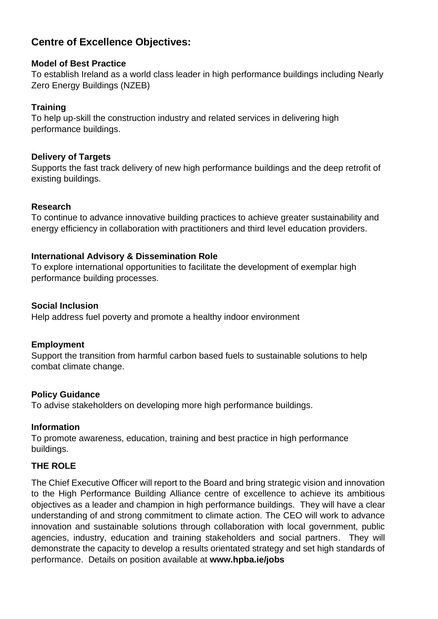## **Centre of Excellence Objectives:**

## **Model of Best Practice**

To establish Ireland as a world class leader in high performance buildings including Nearly Zero Energy Buildings (NZEB)

## **Training**

To help up-skill the construction industry and related services in delivering high performance buildings.

## **Delivery of Targets**

Supports the fast track delivery of new high performance buildings and the deep retrofit of existing buildings.

## **Research**

To continue to advance innovative building practices to achieve greater sustainability and energy efficiency in collaboration with practitioners and third level education providers.

## **International Advisory & Dissemination Role**

To explore international opportunities to facilitate the development of exemplar high performance building processes.

## **Social Inclusion**

Help address fuel poverty and promote a healthy indoor environment

## **Employment**

Support the transition from harmful carbon based fuels to sustainable solutions to help combat climate change.

## **Policy Guidance**

To advise stakeholders on developing more high performance buildings.

## **Information**

To promote awareness, education, training and best practice in high performance buildings.

## **THE ROLE**

The Chief Executive Officer will report to the Board and bring strategic vision and innovation to the High Performance Building Alliance centre of excellence to achieve its ambitious objectives as a leader and champion in high performance buildings. They will have a clear understanding of and strong commitment to climate action. The CEO will work to advance innovation and sustainable solutions through collaboration with local government, public agencies, industry, education and training stakeholders and social partners. They will demonstrate the capacity to develop a results orientated strategy and set high standards of performance. Details on position available at **www.hpba.ie/jobs**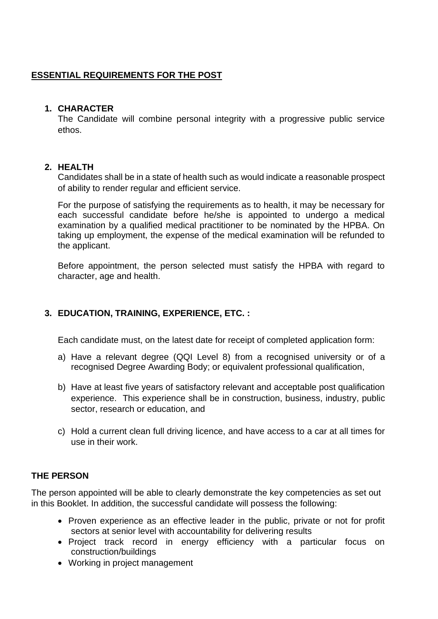## **ESSENTIAL REQUIREMENTS FOR THE POST**

#### **1. CHARACTER**

The Candidate will combine personal integrity with a progressive public service ethos.

#### **2. HEALTH**

Candidates shall be in a state of health such as would indicate a reasonable prospect of ability to render regular and efficient service.

For the purpose of satisfying the requirements as to health, it may be necessary for each successful candidate before he/she is appointed to undergo a medical examination by a qualified medical practitioner to be nominated by the HPBA. On taking up employment, the expense of the medical examination will be refunded to the applicant.

Before appointment, the person selected must satisfy the HPBA with regard to character, age and health.

## **3. EDUCATION, TRAINING, EXPERIENCE, ETC. :**

Each candidate must, on the latest date for receipt of completed application form:

- a) Have a relevant degree (QQI Level 8) from a recognised university or of a recognised Degree Awarding Body; or equivalent professional qualification,
- b) Have at least five years of satisfactory relevant and acceptable post qualification experience. This experience shall be in construction, business, industry, public sector, research or education, and
- c) Hold a current clean full driving licence, and have access to a car at all times for use in their work.

## **THE PERSON**

The person appointed will be able to clearly demonstrate the key competencies as set out in this Booklet. In addition, the successful candidate will possess the following:

- Proven experience as an effective leader in the public, private or not for profit sectors at senior level with accountability for delivering results
- Project track record in energy efficiency with a particular focus on construction/buildings
- Working in project management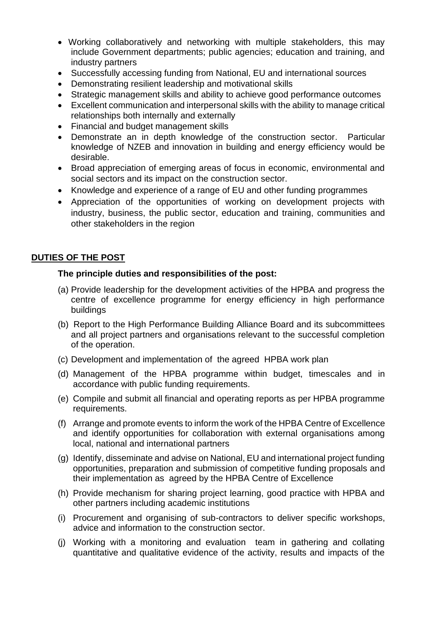- Working collaboratively and networking with multiple stakeholders, this may include Government departments; public agencies; education and training, and industry partners
- Successfully accessing funding from National, EU and international sources
- Demonstrating resilient leadership and motivational skills
- Strategic management skills and ability to achieve good performance outcomes
- Excellent communication and interpersonal skills with the ability to manage critical relationships both internally and externally
- Financial and budget management skills
- Demonstrate an in depth knowledge of the construction sector. Particular knowledge of NZEB and innovation in building and energy efficiency would be desirable.
- Broad appreciation of emerging areas of focus in economic, environmental and social sectors and its impact on the construction sector.
- Knowledge and experience of a range of EU and other funding programmes
- Appreciation of the opportunities of working on development projects with industry, business, the public sector, education and training, communities and other stakeholders in the region

#### **DUTIES OF THE POST**

#### **The principle duties and responsibilities of the post:**

- (a) Provide leadership for the development activities of the HPBA and progress the centre of excellence programme for energy efficiency in high performance buildings
- (b) Report to the High Performance Building Alliance Board and its subcommittees and all project partners and organisations relevant to the successful completion of the operation.
- (c) Development and implementation of the agreed HPBA work plan
- (d) Management of the HPBA programme within budget, timescales and in accordance with public funding requirements.
- (e) Compile and submit all financial and operating reports as per HPBA programme requirements.
- (f) Arrange and promote events to inform the work of the HPBA Centre of Excellence and identify opportunities for collaboration with external organisations among local, national and international partners
- (g) Identify, disseminate and advise on National, EU and international project funding opportunities, preparation and submission of competitive funding proposals and their implementation as agreed by the HPBA Centre of Excellence
- (h) Provide mechanism for sharing project learning, good practice with HPBA and other partners including academic institutions
- (i) Procurement and organising of sub-contractors to deliver specific workshops, advice and information to the construction sector.
- (j) Working with a monitoring and evaluation team in gathering and collating quantitative and qualitative evidence of the activity, results and impacts of the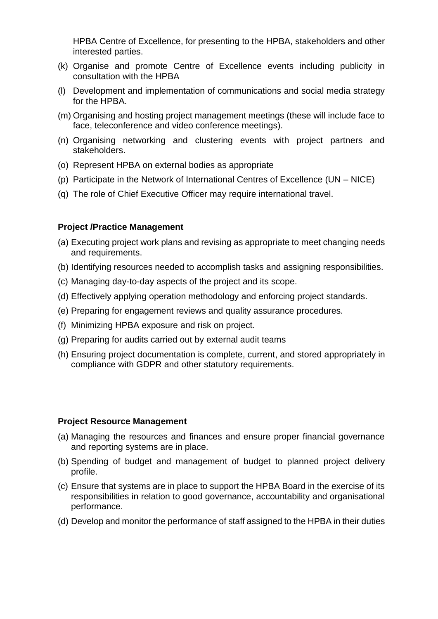HPBA Centre of Excellence, for presenting to the HPBA, stakeholders and other interested parties.

- (k) Organise and promote Centre of Excellence events including publicity in consultation with the HPBA
- (l) Development and implementation of communications and social media strategy for the HPBA.
- (m) Organising and hosting project management meetings (these will include face to face, teleconference and video conference meetings).
- (n) Organising networking and clustering events with project partners and stakeholders.
- (o) Represent HPBA on external bodies as appropriate
- (p) Participate in the Network of International Centres of Excellence (UN NICE)
- (q) The role of Chief Executive Officer may require international travel.

#### **Project /Practice Management**

- (a) Executing project work plans and revising as appropriate to meet changing needs and requirements.
- (b) Identifying resources needed to accomplish tasks and assigning responsibilities.
- (c) Managing day-to-day aspects of the project and its scope.
- (d) Effectively applying operation methodology and enforcing project standards.
- (e) Preparing for engagement reviews and quality assurance procedures.
- (f) Minimizing HPBA exposure and risk on project.
- (g) Preparing for audits carried out by external audit teams
- (h) Ensuring project documentation is complete, current, and stored appropriately in compliance with GDPR and other statutory requirements.

#### **Project Resource Management**

- (a) Managing the resources and finances and ensure proper financial governance and reporting systems are in place.
- (b) Spending of budget and management of budget to planned project delivery profile.
- (c) Ensure that systems are in place to support the HPBA Board in the exercise of its responsibilities in relation to good governance, accountability and organisational performance.
- (d) Develop and monitor the performance of staff assigned to the HPBA in their duties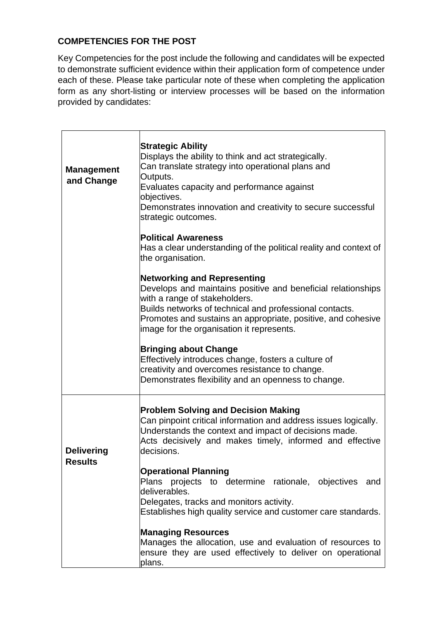## **COMPETENCIES FOR THE POST**

Key Competencies for the post include the following and candidates will be expected to demonstrate sufficient evidence within their application form of competence under each of these. Please take particular note of these when completing the application form as any short-listing or interview processes will be based on the information provided by candidates:

| <b>Management</b><br>and Change     | <b>Strategic Ability</b><br>Displays the ability to think and act strategically.<br>Can translate strategy into operational plans and<br>Outputs.<br>Evaluates capacity and performance against<br>objectives.<br>Demonstrates innovation and creativity to secure successful<br>strategic outcomes.        |
|-------------------------------------|-------------------------------------------------------------------------------------------------------------------------------------------------------------------------------------------------------------------------------------------------------------------------------------------------------------|
|                                     | <b>Political Awareness</b><br>Has a clear understanding of the political reality and context of<br>the organisation.                                                                                                                                                                                        |
|                                     | <b>Networking and Representing</b><br>Develops and maintains positive and beneficial relationships<br>with a range of stakeholders.<br>Builds networks of technical and professional contacts.<br>Promotes and sustains an appropriate, positive, and cohesive<br>image for the organisation it represents. |
|                                     | <b>Bringing about Change</b><br>Effectively introduces change, fosters a culture of<br>creativity and overcomes resistance to change.<br>Demonstrates flexibility and an openness to change.                                                                                                                |
| <b>Delivering</b><br><b>Results</b> | <b>Problem Solving and Decision Making</b><br>Can pinpoint critical information and address issues logically.<br>Understands the context and impact of decisions made.<br>Acts decisively and makes timely, informed and effective<br>decisions.                                                            |
|                                     | <b>Operational Planning</b><br>Plans projects to determine rationale, objectives<br>and<br>deliverables.<br>Delegates, tracks and monitors activity.<br>Establishes high quality service and customer care standards.                                                                                       |
|                                     | <b>Managing Resources</b><br>Manages the allocation, use and evaluation of resources to<br>ensure they are used effectively to deliver on operational<br>plans.                                                                                                                                             |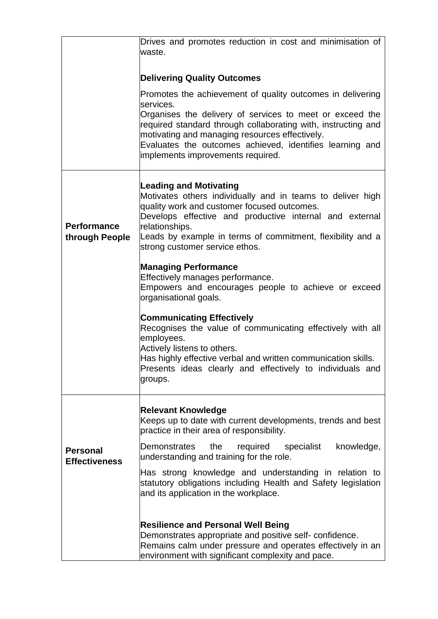|                                         | Drives and promotes reduction in cost and minimisation of<br>lwaste.                                                                                                                                                                                                                                                                                     |
|-----------------------------------------|----------------------------------------------------------------------------------------------------------------------------------------------------------------------------------------------------------------------------------------------------------------------------------------------------------------------------------------------------------|
|                                         | <b>Delivering Quality Outcomes</b>                                                                                                                                                                                                                                                                                                                       |
|                                         | Promotes the achievement of quality outcomes in delivering<br>lservices.<br>Organises the delivery of services to meet or exceed the<br>required standard through collaborating with, instructing and<br>motivating and managing resources effectively.<br>Evaluates the outcomes achieved, identifies learning and<br>implements improvements required. |
| <b>Performance</b><br>through People    | <b>Leading and Motivating</b><br>Motivates others individually and in teams to deliver high<br>quality work and customer focused outcomes.<br>Develops effective and productive internal and external<br>relationships.<br>Leads by example in terms of commitment, flexibility and a<br>strong customer service ethos.                                  |
|                                         | <b>Managing Performance</b><br>Effectively manages performance.<br>Empowers and encourages people to achieve or exceed<br>organisational goals.                                                                                                                                                                                                          |
|                                         | <b>Communicating Effectively</b><br>Recognises the value of communicating effectively with all<br>employees.<br>Actively listens to others.<br>Has highly effective verbal and written communication skills.<br>Presents ideas clearly and effectively to individuals and<br>groups.                                                                     |
|                                         | <b>Relevant Knowledge</b><br>Keeps up to date with current developments, trends and best<br>practice in their area of responsibility.                                                                                                                                                                                                                    |
| <b>Personal</b><br><b>Effectiveness</b> | knowledge,<br>the<br>required<br>specialist<br>Demonstrates<br>understanding and training for the role.                                                                                                                                                                                                                                                  |
|                                         | Has strong knowledge and understanding in relation to<br>statutory obligations including Health and Safety legislation<br>and its application in the workplace.                                                                                                                                                                                          |
|                                         | <b>Resilience and Personal Well Being</b><br>Demonstrates appropriate and positive self-confidence.<br>Remains calm under pressure and operates effectively in an<br>environment with significant complexity and pace.                                                                                                                                   |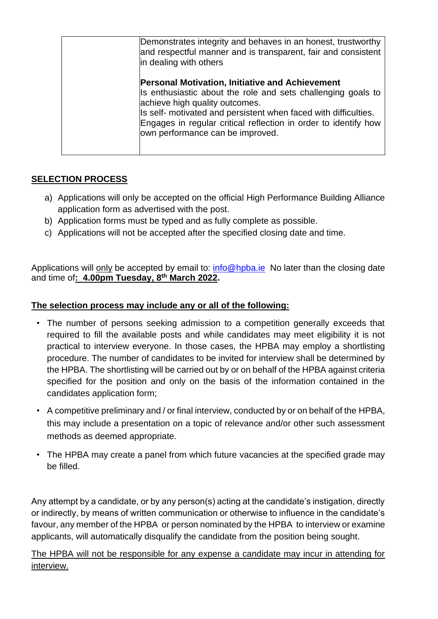| Demonstrates integrity and behaves in an honest, trustworthy<br>and respectful manner and is transparent, fair and consistent<br>in dealing with others                                                                                                                                                                            |
|------------------------------------------------------------------------------------------------------------------------------------------------------------------------------------------------------------------------------------------------------------------------------------------------------------------------------------|
| <b>Personal Motivation, Initiative and Achievement</b><br>Is enthusiastic about the role and sets challenging goals to<br>achieve high quality outcomes.<br>Is self- motivated and persistent when faced with difficulties.<br>Engages in regular critical reflection in order to identify how<br>own performance can be improved. |

## **SELECTION PROCESS**

- a) Applications will only be accepted on the official High Performance Building Alliance application form as advertised with the post.
- b) Application forms must be typed and as fully complete as possible.
- c) Applications will not be accepted after the specified closing date and time.

Applications will only be accepted by email to: [info@hpba.ie](mailto:info@hpba.ie) No later than the closing date and time of**: 4.00pm Tuesday, 8 th March 2022.**

## **The selection process may include any or all of the following:**

- The number of persons seeking admission to a competition generally exceeds that required to fill the available posts and while candidates may meet eligibility it is not practical to interview everyone. In those cases, the HPBA may employ a shortlisting procedure. The number of candidates to be invited for interview shall be determined by the HPBA. The shortlisting will be carried out by or on behalf of the HPBA against criteria specified for the position and only on the basis of the information contained in the candidates application form;
- A competitive preliminary and / or final interview, conducted by or on behalf of the HPBA, this may include a presentation on a topic of relevance and/or other such assessment methods as deemed appropriate.
- The HPBA may create a panel from which future vacancies at the specified grade may be filled.

Any attempt by a candidate, or by any person(s) acting at the candidate's instigation, directly or indirectly, by means of written communication or otherwise to influence in the candidate's favour, any member of the HPBA or person nominated by the HPBA to interview or examine applicants, will automatically disqualify the candidate from the position being sought.

The HPBA will not be responsible for any expense a candidate may incur in attending for interview.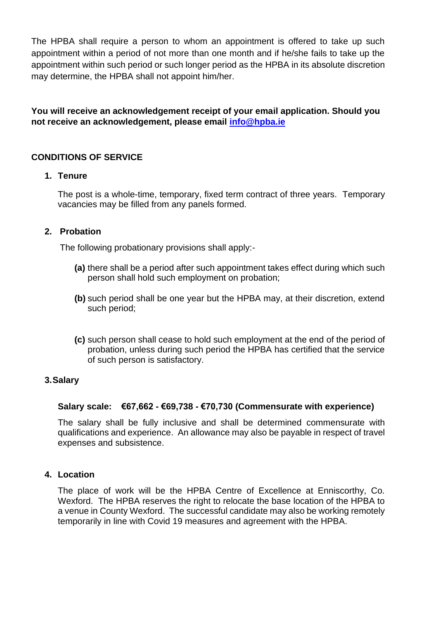The HPBA shall require a person to whom an appointment is offered to take up such appointment within a period of not more than one month and if he/she fails to take up the appointment within such period or such longer period as the HPBA in its absolute discretion may determine, the HPBA shall not appoint him/her.

**You will receive an acknowledgement receipt of your email application. Should you not receive an acknowledgement, please email [info@hpba.ie](mailto:info@hpba.ie)**

#### **CONDITIONS OF SERVICE**

#### **1. Tenure**

The post is a whole-time, temporary, fixed term contract of three years. Temporary vacancies may be filled from any panels formed.

#### **2. Probation**

The following probationary provisions shall apply:-

- **(a)** there shall be a period after such appointment takes effect during which such person shall hold such employment on probation;
- **(b)** such period shall be one year but the HPBA may, at their discretion, extend such period;
- **(c)** such person shall cease to hold such employment at the end of the period of probation, unless during such period the HPBA has certified that the service of such person is satisfactory.

#### **3.Salary**

#### **Salary scale: €67,662 - €69,738 - €70,730 (Commensurate with experience)**

The salary shall be fully inclusive and shall be determined commensurate with qualifications and experience. An allowance may also be payable in respect of travel expenses and subsistence.

#### **4. Location**

The place of work will be the HPBA Centre of Excellence at Enniscorthy, Co. Wexford. The HPBA reserves the right to relocate the base location of the HPBA to a venue in County Wexford. The successful candidate may also be working remotely temporarily in line with Covid 19 measures and agreement with the HPBA.